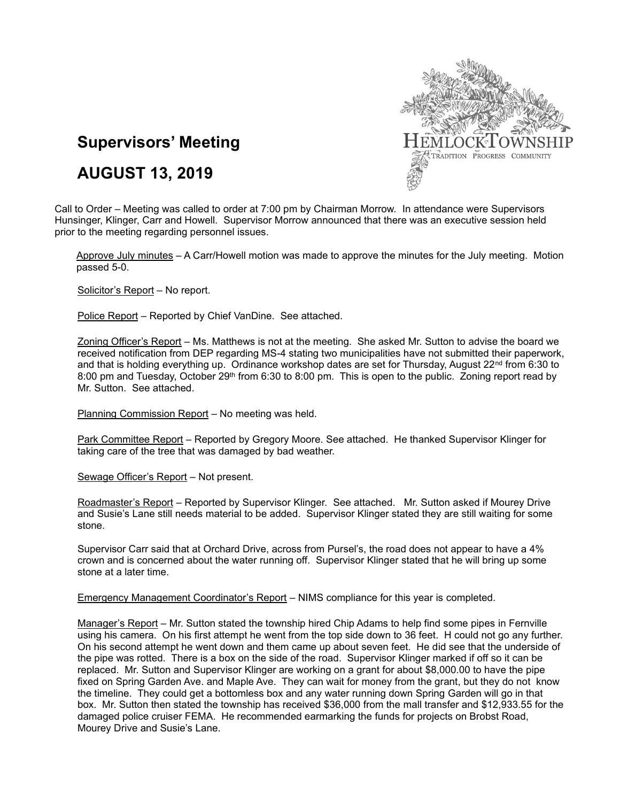

# **Supervisors' Meeting**

# **AUGUST 13, 2019**

Call to Order – Meeting was called to order at 7:00 pm by Chairman Morrow. In attendance were Supervisors Hunsinger, Klinger, Carr and Howell. Supervisor Morrow announced that there was an executive session held prior to the meeting regarding personnel issues.

Approve July minutes – A Carr/Howell motion was made to approve the minutes for the July meeting. Motion passed 5-0.

Solicitor's Report – No report.

Police Report - Reported by Chief VanDine. See attached.

Zoning Officer's Report – Ms. Matthews is not at the meeting. She asked Mr. Sutton to advise the board we received notification from DEP regarding MS-4 stating two municipalities have not submitted their paperwork, and that is holding everything up. Ordinance workshop dates are set for Thursday, August 22<sup>nd</sup> from 6:30 to 8:00 pm and Tuesday, October 29<sup>th</sup> from 6:30 to 8:00 pm. This is open to the public. Zoning report read by Mr. Sutton. See attached.

Planning Commission Report – No meeting was held.

Park Committee Report – Reported by Gregory Moore. See attached. He thanked Supervisor Klinger for taking care of the tree that was damaged by bad weather.

Sewage Officer's Report – Not present.

Roadmaster's Report – Reported by Supervisor Klinger. See attached. Mr. Sutton asked if Mourey Drive and Susie's Lane still needs material to be added. Supervisor Klinger stated they are still waiting for some stone.

Supervisor Carr said that at Orchard Drive, across from Pursel's, the road does not appear to have a 4% crown and is concerned about the water running off. Supervisor Klinger stated that he will bring up some stone at a later time.

Emergency Management Coordinator's Report – NIMS compliance for this year is completed.

Manager's Report – Mr. Sutton stated the township hired Chip Adams to help find some pipes in Fernville using his camera. On his first attempt he went from the top side down to 36 feet. H could not go any further. On his second attempt he went down and them came up about seven feet. He did see that the underside of the pipe was rotted. There is a box on the side of the road. Supervisor Klinger marked if off so it can be replaced. Mr. Sutton and Supervisor Klinger are working on a grant for about \$8,000.00 to have the pipe fixed on Spring Garden Ave. and Maple Ave. They can wait for money from the grant, but they do not know the timeline. They could get a bottomless box and any water running down Spring Garden will go in that box. Mr. Sutton then stated the township has received \$36,000 from the mall transfer and \$12,933.55 for the damaged police cruiser FEMA. He recommended earmarking the funds for projects on Brobst Road, Mourey Drive and Susie's Lane.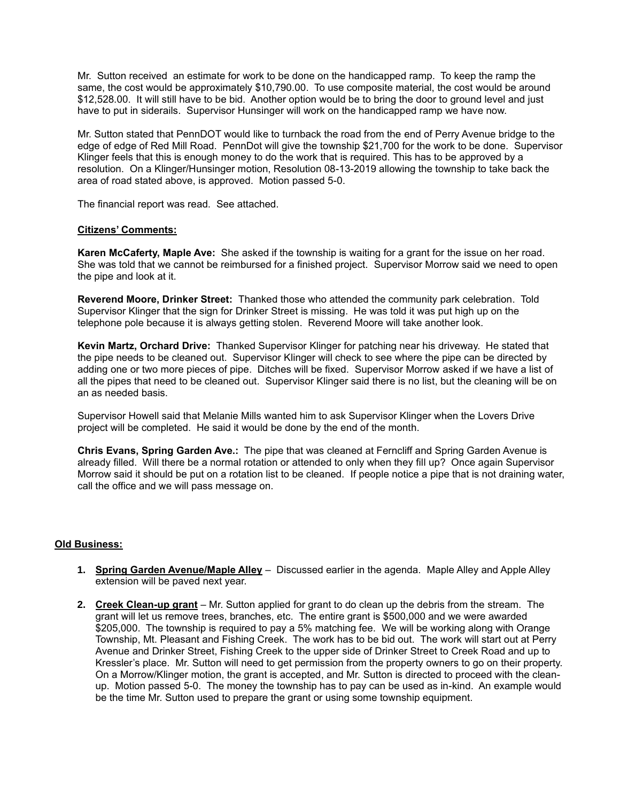Mr. Sutton received an estimate for work to be done on the handicapped ramp. To keep the ramp the same, the cost would be approximately \$10,790.00. To use composite material, the cost would be around \$12,528.00. It will still have to be bid. Another option would be to bring the door to ground level and just have to put in siderails. Supervisor Hunsinger will work on the handicapped ramp we have now.

Mr. Sutton stated that PennDOT would like to turnback the road from the end of Perry Avenue bridge to the edge of edge of Red Mill Road. PennDot will give the township \$21,700 for the work to be done. Supervisor Klinger feels that this is enough money to do the work that is required. This has to be approved by a resolution. On a Klinger/Hunsinger motion, Resolution 08-13-2019 allowing the township to take back the area of road stated above, is approved. Motion passed 5-0.

The financial report was read. See attached.

#### **Citizens' Comments:**

**Karen McCaferty, Maple Ave:** She asked if the township is waiting for a grant for the issue on her road. She was told that we cannot be reimbursed for a finished project. Supervisor Morrow said we need to open the pipe and look at it.

**Reverend Moore, Drinker Street:** Thanked those who attended the community park celebration. Told Supervisor Klinger that the sign for Drinker Street is missing. He was told it was put high up on the telephone pole because it is always getting stolen. Reverend Moore will take another look.

**Kevin Martz, Orchard Drive:** Thanked Supervisor Klinger for patching near his driveway. He stated that the pipe needs to be cleaned out. Supervisor Klinger will check to see where the pipe can be directed by adding one or two more pieces of pipe. Ditches will be fixed. Supervisor Morrow asked if we have a list of all the pipes that need to be cleaned out. Supervisor Klinger said there is no list, but the cleaning will be on an as needed basis.

Supervisor Howell said that Melanie Mills wanted him to ask Supervisor Klinger when the Lovers Drive project will be completed. He said it would be done by the end of the month.

**Chris Evans, Spring Garden Ave.:** The pipe that was cleaned at Ferncliff and Spring Garden Avenue is already filled. Will there be a normal rotation or attended to only when they fill up? Once again Supervisor Morrow said it should be put on a rotation list to be cleaned. If people notice a pipe that is not draining water, call the office and we will pass message on.

#### **Old Business:**

- **1. Spring Garden Avenue/Maple Alley** Discussed earlier in the agenda. Maple Alley and Apple Alley extension will be paved next year.
- **2. Creek Clean-up grant** Mr. Sutton applied for grant to do clean up the debris from the stream. The grant will let us remove trees, branches, etc. The entire grant is \$500,000 and we were awarded \$205,000. The township is required to pay a 5% matching fee. We will be working along with Orange Township, Mt. Pleasant and Fishing Creek. The work has to be bid out. The work will start out at Perry Avenue and Drinker Street, Fishing Creek to the upper side of Drinker Street to Creek Road and up to Kressler's place. Mr. Sutton will need to get permission from the property owners to go on their property. On a Morrow/Klinger motion, the grant is accepted, and Mr. Sutton is directed to proceed with the cleanup. Motion passed 5-0. The money the township has to pay can be used as in-kind. An example would be the time Mr. Sutton used to prepare the grant or using some township equipment.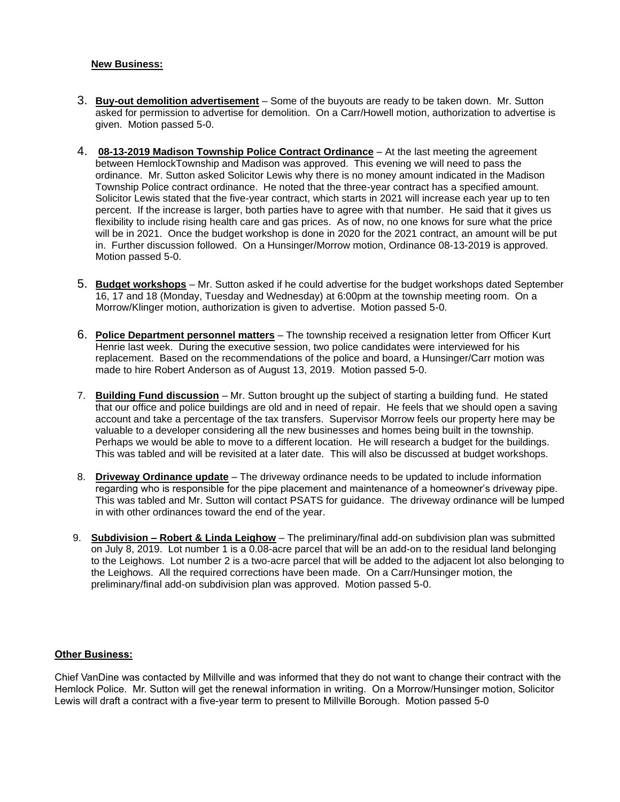### **New Business:**

- 3. **Buy-out demolition advertisement** Some of the buyouts are ready to be taken down. Mr. Sutton asked for permission to advertise for demolition. On a Carr/Howell motion, authorization to advertise is given. Motion passed 5-0.
- 4. **08-13-2019 Madison Township Police Contract Ordinance** At the last meeting the agreement between HemlockTownship and Madison was approved. This evening we will need to pass the ordinance. Mr. Sutton asked Solicitor Lewis why there is no money amount indicated in the Madison Township Police contract ordinance. He noted that the three-year contract has a specified amount. Solicitor Lewis stated that the five-year contract, which starts in 2021 will increase each year up to ten percent. If the increase is larger, both parties have to agree with that number. He said that it gives us flexibility to include rising health care and gas prices. As of now, no one knows for sure what the price will be in 2021. Once the budget workshop is done in 2020 for the 2021 contract, an amount will be put in. Further discussion followed. On a Hunsinger/Morrow motion, Ordinance 08-13-2019 is approved. Motion passed 5-0.
- 5. **Budget workshops** Mr. Sutton asked if he could advertise for the budget workshops dated September 16, 17 and 18 (Monday, Tuesday and Wednesday) at 6:00pm at the township meeting room. On a Morrow/Klinger motion, authorization is given to advertise. Motion passed 5-0.
- 6. **Police Department personnel matters** The township received a resignation letter from Officer Kurt Henrie last week. During the executive session, two police candidates were interviewed for his replacement. Based on the recommendations of the police and board, a Hunsinger/Carr motion was made to hire Robert Anderson as of August 13, 2019. Motion passed 5-0.
- 7. **Building Fund discussion** Mr. Sutton brought up the subject of starting a building fund. He stated that our office and police buildings are old and in need of repair. He feels that we should open a saving account and take a percentage of the tax transfers. Supervisor Morrow feels our property here may be valuable to a developer considering all the new businesses and homes being built in the township. Perhaps we would be able to move to a different location. He will research a budget for the buildings. This was tabled and will be revisited at a later date. This will also be discussed at budget workshops.
- 8. **Driveway Ordinance update** The driveway ordinance needs to be updated to include information regarding who is responsible for the pipe placement and maintenance of a homeowner's driveway pipe. This was tabled and Mr. Sutton will contact PSATS for guidance. The driveway ordinance will be lumped in with other ordinances toward the end of the year.
- 9. **Subdivision – Robert & Linda Leighow** The preliminary/final add-on subdivision plan was submitted on July 8, 2019. Lot number 1 is a 0.08-acre parcel that will be an add-on to the residual land belonging to the Leighows. Lot number 2 is a two-acre parcel that will be added to the adjacent lot also belonging to the Leighows. All the required corrections have been made. On a Carr/Hunsinger motion, the preliminary/final add-on subdivision plan was approved. Motion passed 5-0.

### **Other Business:**

Chief VanDine was contacted by Millville and was informed that they do not want to change their contract with the Hemlock Police. Mr. Sutton will get the renewal information in writing. On a Morrow/Hunsinger motion, Solicitor Lewis will draft a contract with a five-year term to present to Millville Borough. Motion passed 5-0